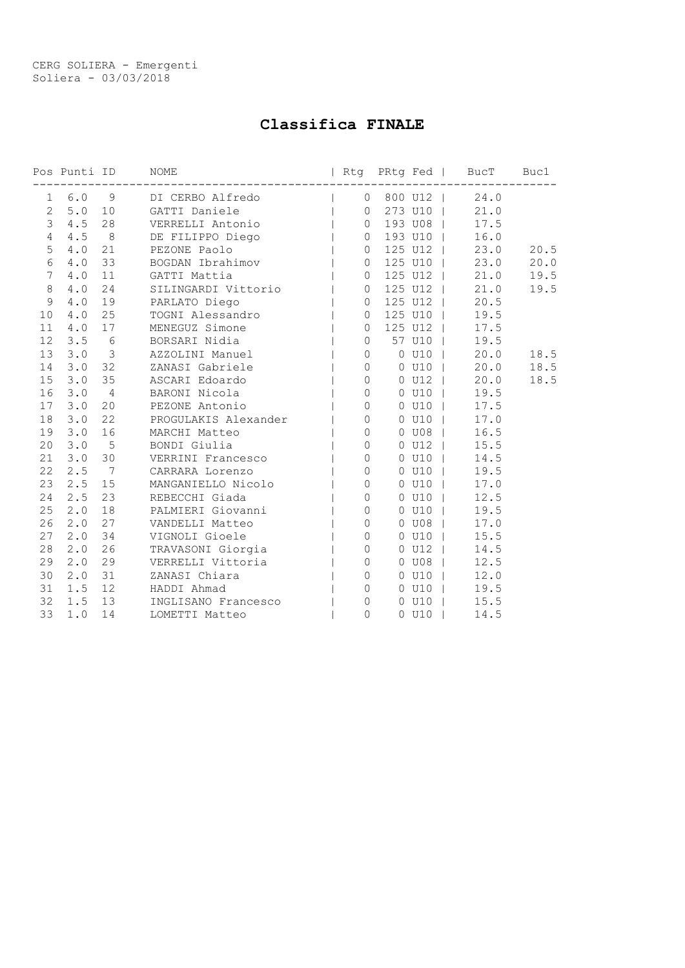# Classifica FINALE

|                 |                | Pos Punti ID   | Rtg PRtg Fed   BucT Buc1<br>NOME                                                                                                                                                                                                                   |                |                |               |      |      |
|-----------------|----------------|----------------|----------------------------------------------------------------------------------------------------------------------------------------------------------------------------------------------------------------------------------------------------|----------------|----------------|---------------|------|------|
|                 |                |                | 1 6.0 9 DI CERBO Alfredo (1 0 800 U12                                                                                                                                                                                                              |                |                |               | 24.0 |      |
| $\overline{2}$  | 5.0            |                | 10 GATTI Daniele                                                                                                                                                                                                                                   | $\overline{0}$ |                | 273 U10       | 21.0 |      |
| $\mathcal{S}$   | 4.5            | 28             |                                                                                                                                                                                                                                                    | $\overline{0}$ |                | 193 U08       | 17.5 |      |
| $\overline{4}$  | 4.5            | 8              |                                                                                                                                                                                                                                                    | $\circ$        |                | 193 U10       | 16.0 |      |
| 5               | 4.0            | 21             | GATTI Daniele<br>VERRELLI Antonio<br>DE FILIPPO Diego<br>PEZONE Paolo  <br>BOGDAN Ibrahimov  <br>GATTI Mattia  <br>SILINGARDI Vittorio  <br>                                                                                                       | $\circ$        |                | 125 U12       | 23.0 | 20.5 |
| 6               | 4.0            | 33             |                                                                                                                                                                                                                                                    | $\overline{0}$ |                | 125 U10       | 23.0 | 20.0 |
| 7               | 4.0            | 11             |                                                                                                                                                                                                                                                    | $\circ$        |                | 125 U12       | 21.0 | 19.5 |
| 8               | 4.0            | 24             |                                                                                                                                                                                                                                                    | $\circ$        |                | 125 U12       | 21.0 | 19.5 |
| 9               | 4.0            | 19             | PARLATO Diego                                                                                                                                                                                                                                      | $\circ$        |                | 125 U12       | 20.5 |      |
| 10              | 4.0            | 25             | TOGNI Alessandro                                                                                                                                                                                                                                   | $\circ$        |                | 125 U10       | 19.5 |      |
| 11              | 4.0            | 17             | MENEGUZ Simone                                                                                                                                                                                                                                     | $\circ$        |                | 125 U12       | 17.5 |      |
| 12              | 3.5%           |                | BORSARI Nidia                                                                                                                                                                                                                                      | $\circ$        |                | 57 U10        | 19.5 |      |
| 13              | $3.0$ 3        |                | AZZOLINI Manuel                                                                                                                                                                                                                                    | $\overline{0}$ |                | $0$ $U10$     | 20.0 | 18.5 |
| 14              | 3.0            | 32             | ZANASI Gabriele                                                                                                                                                                                                                                    | $\circ$        |                | $0$ $U10$     | 20.0 | 18.5 |
| 15              | 3.0            | 35             | ASCARI Edoardo                                                                                                                                                                                                                                     | $\circ$        |                | $0$ $U12$     | 20.0 | 18.5 |
| 16              | 3.0            | $\overline{4}$ | BARONI Nicola                                                                                                                                                                                                                                      |                | 0              | $0$ U10       | 19.5 |      |
| 17 <sup>7</sup> | $3 \cdot 0$    | 20             | PEZONE Antonio                                                                                                                                                                                                                                     |                | $\overline{0}$ | $0$ $U10$     | 17.5 |      |
| 18              | 3.0            | 22             | PEZONE ANTONIO<br>PROGULAKIS Alexander<br>MARCHI Matteo  <br>BONDI Giulia  <br>VERRINI Francesco  <br>CARRARA Lorenzo                                                                                                                              | $\circ$        |                | $0$ $U10$     | 17.0 |      |
| 19              | 3.0            | 16             |                                                                                                                                                                                                                                                    | $\circ$        |                | $0$ UO8       | 16.5 |      |
| 20              | 3.0            | $5^{\circ}$    |                                                                                                                                                                                                                                                    | $\circ$        |                | $0$ $U12$     | 15.5 |      |
|                 | $21 \quad 3.0$ | 30             |                                                                                                                                                                                                                                                    | $\circ$        |                | $0$ $U10$     | 14.5 |      |
| 22              | 2.5            | $\overline{7}$ |                                                                                                                                                                                                                                                    | $\overline{0}$ |                | $0$ $U10$     | 19.5 |      |
| 23              | 2.5            | 15             | MANGANIELLO Nicolo                                                                                                                                                                                                                                 | $\overline{0}$ |                | $0$ $U10$     | 17.0 |      |
| 24              | 2.5            | 23             |                                                                                                                                                                                                                                                    | $\circ$        |                | $0$ U10       | 12.5 |      |
| 25              | 2.0            | 18             |                                                                                                                                                                                                                                                    | $\overline{0}$ |                | $0$ U10       | 19.5 |      |
| 26              | 2.0            | 27             | MANGANIELLO Nicolo<br>REBECCHI Giada<br>PALMIERI Giovanni  <br>VANDELLI Matteo  <br>VIGNOLI Gioele  <br>TRAVASONI Giorgia  <br>TRAVASONI Giorgia  <br>VERRELLI Vittoria  <br>ZANASI Chiara  <br>HADDI Ahmad<br>HADDI Ahmad  <br>NCIICANO FRARCACCO | $\circ$        |                | $0$ $U08$     | 17.0 |      |
| 27              | 2.0            | 34             |                                                                                                                                                                                                                                                    | $\circ$        |                | $0$ $U10$     | 15.5 |      |
| 28              | 2.0            | 26             |                                                                                                                                                                                                                                                    | $\circ$        |                | $0$ U12       | 14.5 |      |
| 29              | 2.0            | 29             |                                                                                                                                                                                                                                                    | $\overline{0}$ |                | $0$ UO8       | 12.5 |      |
| 30              | 2.0            | 31             |                                                                                                                                                                                                                                                    | $\circ$        |                | $0$ U10       | 12.0 |      |
| 31              | 1.5            | 12             |                                                                                                                                                                                                                                                    | $\circ$        |                | $0$ $U10$     | 19.5 |      |
| 32              | 1.5            | 13             | INGLISANO Francesco  <br>INGLISANO Francesco  <br>LOMETTI Matteo                                                                                                                                                                                   | $\mathbf{0}$   |                | $0$ $U10$     | 15.5 |      |
| 33              | 1.0            | 14             |                                                                                                                                                                                                                                                    | $\Omega$       |                | $0$ $U10$ $I$ | 14.5 |      |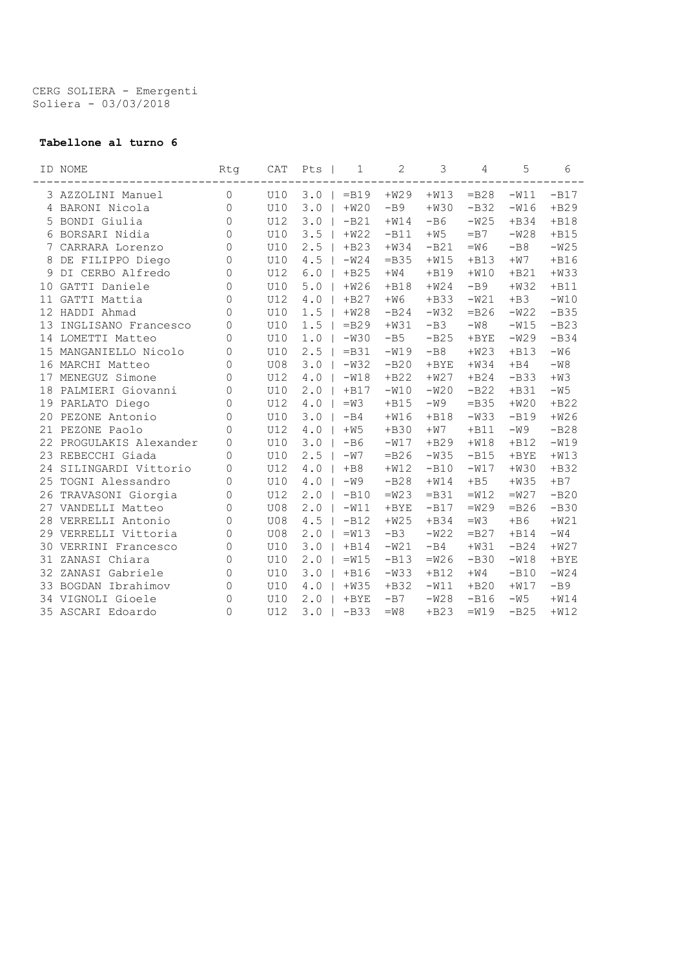CERG SOLIERA - Emergenti Soliera - 03/03/2018

### Tabellone al turno 6

|    | ID NOME              | Rtg                 | CAT        | Pts   | 1       | $\overline{2}$ | 3       | 4       | 5       | 6       |
|----|----------------------|---------------------|------------|-------|---------|----------------|---------|---------|---------|---------|
|    | 3 AZZOLINI Manuel    | 0                   | U10        | 3.0   | $=$ B19 | $+W29$         | $+W13$  | $=$ B28 | $-W11$  | $-B17$  |
| 4  | BARONI Nicola        | 0                   | <b>U10</b> | 3.0   | $+W20$  | $-B9$          | $+W30$  | $-B32$  | $-W16$  | $+B29$  |
| 5  | BONDI Giulia         | 0                   | U12        | 3.0   | $-B21$  | $+W14$         | $-B6$   | $-W25$  | $+B34$  | $+B18$  |
| 6  | BORSARI Nidia        | 0                   | <b>U10</b> | 3.5   | $+W22$  | $-B11$         | $+W5$   | $=B7$   | $-W28$  | $+B15$  |
| 7  | CARRARA Lorenzo      | $\overline{0}$      | <b>U10</b> | 2.5   | $+B23$  | $+W34$         | $-B21$  | $=W6$   | $-B8$   | $-W25$  |
| 8  | DE FILIPPO Diego     | $\mathsf{O}$        | <b>U10</b> | 4.5   | $-W24$  | $=$ B35        | $+W15$  | $+B13$  | $+W7$   | $+B16$  |
| 9  | DI CERBO Alfredo     | 0                   | <b>U12</b> | $6.0$ | $+B25$  | $+W4$          | $+B19$  | $+W10$  | $+B21$  | $+W33$  |
| 10 | GATTI Daniele        | 0                   | U10        | 5.0   | $+W26$  | $+B18$         | $+W24$  | $-B9$   | $+W32$  | $+B11$  |
| 11 | GATTI Mattia         | $\Omega$            | <b>U12</b> | $4.0$ | $+B27$  | $+W6$          | $+B33$  | $-W21$  | $+B3$   | $-W10$  |
| 12 | HADDI Ahmad          | 0                   | <b>U10</b> | 1.5   | $+W28$  | $-B24$         | $-W32$  | $=$ B26 | $-W22$  | $-B35$  |
| 13 | INGLISANO Francesco  | 0                   | <b>U10</b> | 1.5   | $=$ B29 | $+W31$         | $-B3$   | $-W8$   | $-W15$  | $-B23$  |
| 14 | LOMETTI Matteo       | $\Omega$            | U10        | 1.0   | $-W30$  | $-B5$          | $-B25$  | $+$ BYE | $-W29$  | $-B34$  |
| 15 | MANGANIELLO Nicolo   | $\mathsf{O}\xspace$ | U10        | 2.5   | $=$ B31 | $-W19$         | $-B8$   | $+W23$  | $+B13$  | $-W6$   |
|    | 16 MARCHI Matteo     | 0                   | <b>U08</b> | 3.0   | $-W32$  | $-B20$         | $+$ BYE | $+W34$  | $+B4$   | $-W8$   |
| 17 | MENEGUZ Simone       | 0                   | U12        | 4.0   | $-W18$  | $+B22$         | $+W27$  | $+B24$  | $-B33$  | $+W3$   |
| 18 | PALMIERI Giovanni    | $\Omega$            | U10        | 2.0   | $+B17$  | $-W10$         | $-W20$  | $-B22$  | $+B31$  | $-W5$   |
| 19 | PARLATO Diego        | 0                   | U12        | 4.0   | $=W3$   | $+B15$         | $-W9$   | $=$ B35 | $+W20$  | $+B22$  |
| 20 | PEZONE Antonio       | 0                   | <b>U10</b> | 3.0   | $-B4$   | $+W16$         | $+B18$  | $-W33$  | $-B19$  | $+W26$  |
| 21 | PEZONE Paolo         | $\Omega$            | <b>U12</b> | 4.0   | $+W5$   | $+B30$         | $+W7$   | $+B11$  | $-W9$   | $-B28$  |
| 22 | PROGULAKIS Alexander | 0                   | <b>U10</b> | 3.0   | $-B6$   | $-W17$         | $+B29$  | $+W18$  | $+B12$  | $-W19$  |
| 23 | REBECCHI Giada       | 0                   | <b>U10</b> | 2.5   | $-W7$   | $=$ B26        | $-W35$  | $-B15$  | $+$ BYE | $+W13$  |
| 24 | SILINGARDI Vittorio  | 0                   | <b>U12</b> | 4.0   | $+B8$   | $+W12$         | $-B10$  | $-W17$  | $+W30$  | $+B32$  |
| 25 | TOGNI Alessandro     | 0                   | <b>U10</b> | 4.0   | $-W9$   | $-B28$         | $+W14$  | $+B5$   | $+W35$  | $+B7$   |
| 26 | TRAVASONI Giorgia    | 0                   | U12        | 2.0   | $-B10$  | $=W23$         | $=$ B31 | $=W12$  | $=W27$  | $-B20$  |
| 27 | VANDELLI Matteo      | 0                   | <b>U08</b> | 2.0   | $-W11$  | $+$ BYE        | $-B17$  | $=W29$  | $=$ B26 | $-B30$  |
| 28 | VERRELLI Antonio     | 0                   | <b>U08</b> | 4.5   | $-B12$  | $+W25$         | $+B34$  | $=W3$   | $+B6$   | $+W21$  |
| 29 | VERRELLI Vittoria    | 0                   | <b>U08</b> | 2.0   | $=W13$  | $-B3$          | $-W22$  | $=$ B27 | $+B14$  | $-W4$   |
| 30 | VERRINI Francesco    | 0                   | <b>U10</b> | 3.0   | $+B14$  | $-W21$         | $-B4$   | $+W31$  | $-B24$  | $+W27$  |
| 31 | ZANASI Chiara        | 0                   | U10        | 2.0   | $=W15$  | $-B13$         | $=W26$  | $-B30$  | $-W18$  | $+$ BYE |
| 32 | ZANASI Gabriele      | 0                   | <b>U10</b> | 3.0   | $+B16$  | $-W33$         | $+B12$  | $+W4$   | $-B10$  | $-W24$  |
| 33 | BOGDAN Ibrahimov     | 0                   | U10        | $4.0$ | $+W35$  | $+B32$         | $-W11$  | $+B20$  | $+W17$  | $-B9$   |
|    | 34 VIGNOLI Gioele    | 0                   | U10        | 2.0   | $+$ BYE | $-B7$          | $-W28$  | $-B16$  | $-W5$   | $+W14$  |
|    | 35 ASCARI Edoardo    | 0                   | U12        | 3.0   | $-B33$  | $=W8$          | $+B23$  | $=W19$  | $-B25$  | $+W12$  |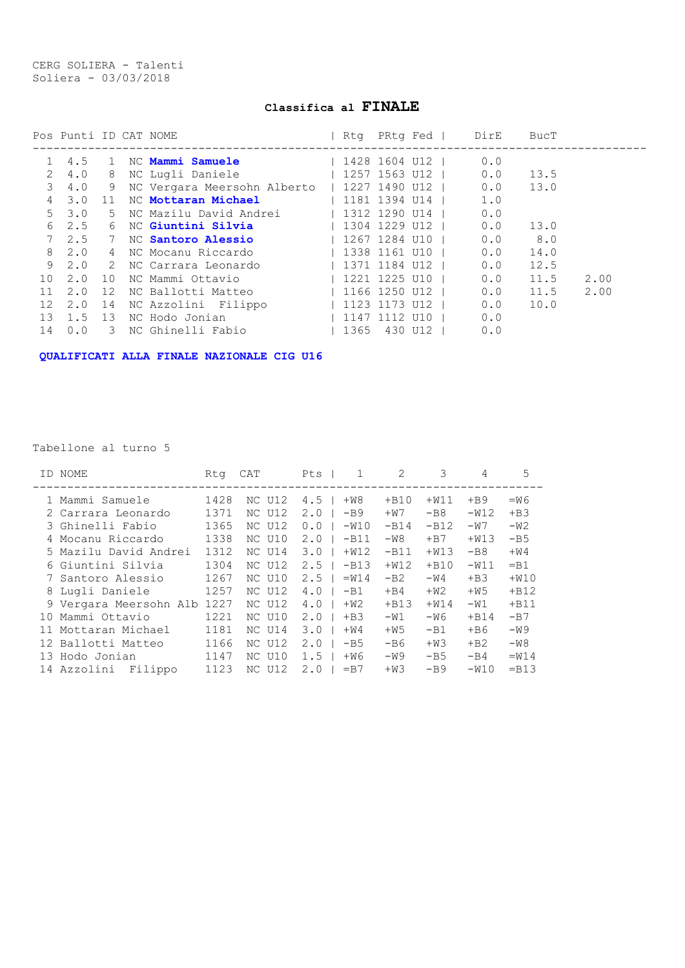CERG SOLIERA - Talenti Soliera - 03/03/2018

## Classifica al FINALE

|                 | Pos Punti ID CAT NOME |               |                                                                                                                                                                                                                                    | Rtq PRtq Fed      |  | DirE      | BucT |      |
|-----------------|-----------------------|---------------|------------------------------------------------------------------------------------------------------------------------------------------------------------------------------------------------------------------------------------|-------------------|--|-----------|------|------|
|                 | 4.5                   | 1             | NC <b>Mammi Samuele</b> and the Manus Samuel Samuel Samuel Samuel Samuel Samuel Samuel Samuel Samuel Samuel Samuel Samuel Samuel Samuel Samuel Samuel Samuel Samuel Samuel Samuel Samuel Samuel Samuel Samuel Samuel Samuel Samuel | 1428 1604 U12     |  | 0.0       |      |      |
| 2               | 4.0                   |               | 8 NC Lugli Daniele 1257 1563 U12                                                                                                                                                                                                   |                   |  | 0.0       | 13.5 |      |
| 3               | 4.0                   | 9             | NC Vergara Meersohn Alberto   1227 1490 U12                                                                                                                                                                                        |                   |  | 0.0       | 13.0 |      |
| 4               | 3.0                   |               | 11 NC Mottaran Michael 1181 1394 U14                                                                                                                                                                                               |                   |  | 1.0       |      |      |
| $5 -$           | 3.0                   |               | 5 NC Mazilu David Andrei (1912 1290 U14                                                                                                                                                                                            |                   |  | 0.0       |      |      |
| 6               | 2.5                   | 6             | NC Giuntini Silvia                  1304 1229 U12                                                                                                                                                                                  |                   |  | 0.0       | 13.0 |      |
|                 |                       |               | 2.5 7 NC <b>Santoro Alessio</b>                                                                                                                                                                                                    | 1267 1284 U10     |  | $0.0$ 8.0 |      |      |
| 8               | 2.0                   |               | 4 NC Mocanu Riccardo                                                                                                                                                                                                               | 1338 1161 U10     |  | 0.0       | 14.0 |      |
| 9               | 2.0                   |               | 2 NC Carrara Leonardo                                                                                                                                                                                                              | 1371 1184 U12     |  | 0.0       | 12.5 |      |
| 10 <sup>°</sup> | 2.0                   | 10            | NC Mammi Ottavio                                                                                                                                                                                                                   | l 1221 1225 U10 l |  | 0.0       | 11.5 | 2.00 |
| 11              | 2.0                   | 12            | NC Ballotti Matteo                                                                                                                                                                                                                 | 1166 1250 U12     |  | 0.0       | 11.5 | 2.00 |
| 12              | 2.0                   |               | 14 NC Azzolini Filippo            1123 1173 U12                                                                                                                                                                                    |                   |  | 0.0       | 10.0 |      |
| 13              | 1.5 13                |               | NC Hodo Jonian Della Constantino Constantino Constantino Constantino Constantino Constantino Constantino Consta                                                                                                                    | 1147 1112 U10     |  | 0.0       |      |      |
| 14              | 0.0                   | $\mathcal{E}$ | NC Ghinelli Fabio                                                                                                                                                                                                                  | l 1365 430 U12 l  |  | 0.0       |      |      |

QUALIFICATI ALLA FINALE NAZIONALE CIG U16

#### Tabellone al turno 5

| ID NOME                | Rta  | CAT        | $\mathbf{1}$<br>Pts | 2      | 3       | 4      | 5       |
|------------------------|------|------------|---------------------|--------|---------|--------|---------|
| 1 Mammi Samuele        | 1428 | NC U12     | 4.5<br>$+W8$        | $+B10$ | $+W11$  | $+B9$  | $=W6$   |
| 2 Carrara Leonardo     | 1371 | NC U12     | 2.0<br>$-B9$        | $+W7$  | $-B8$   | $-W12$ | $+B.3$  |
| 3 Ghinelli Fabio       | 1365 | NC U12     | 0.0<br>$-W10$       | $-B14$ | $-B12$  | $-W7$  | $-W2$   |
| 4 Mocanu Riccardo      | 1338 | NC U10     | 2.0<br>$-B11$       | $-W8$  | $+ B7$  | $+W13$ | $-B5$   |
| 5 Mazilu David Andrei  | 1312 | NC U14     | 3.0<br>$+W12$       | $-B11$ | $+W13$  | $-B8$  | $+W4$   |
| 6 Giuntini Silvia      | 1304 | NC U12     | 2.5<br>$-B13$       | $+W12$ | $+ B10$ | $-W11$ | $=$ B1  |
| 7 Santoro Alessio      | 1267 | NC U10     | 2.5<br>$=W14$       | $-B2$  | $-W4$   | $+B.3$ | $+W10$  |
| 8 Lugli Daniele        | 1257 | NC U12     | 4.0<br>$-B1$        | $+B4$  | $+W2$   | $+W5$  | $+B12$  |
| 9 Vergara Meersohn Alb | 1227 | NC U12     | 4.0<br>$+W2$        | $+B13$ | $+W14$  | $-W1$  | $+B11$  |
| Mammi Ottavio<br>1 O   | 1221 | NC U10     | $+B3$<br>2.0        | $-W1$  | -W6     | $+B14$ | $-B7$   |
| 11 Mottaran Michael    | 1181 | NC U14     | 3.0<br>$+W4$        | $+W5$  | $-B1$   | $+ B6$ | $-W9$   |
| 12 Ballotti Matteo     | 1166 | NC U12     | 2.0<br>$-B5$        | $-B6$  | $+W3$   | $+B2$  | $-W8$   |
| 13 Hodo Jonian         | 1147 | NC U10     | 1.5<br>$+W6$        | $-W9$  | $-B5$   | $-B4$  | $=W14$  |
| 14 Azzolini<br>Filippo | 1123 | U12<br>NC. | 2.0<br>$= B7$       | $+W3$  | $-B9$   | $-W10$ | $=$ B13 |